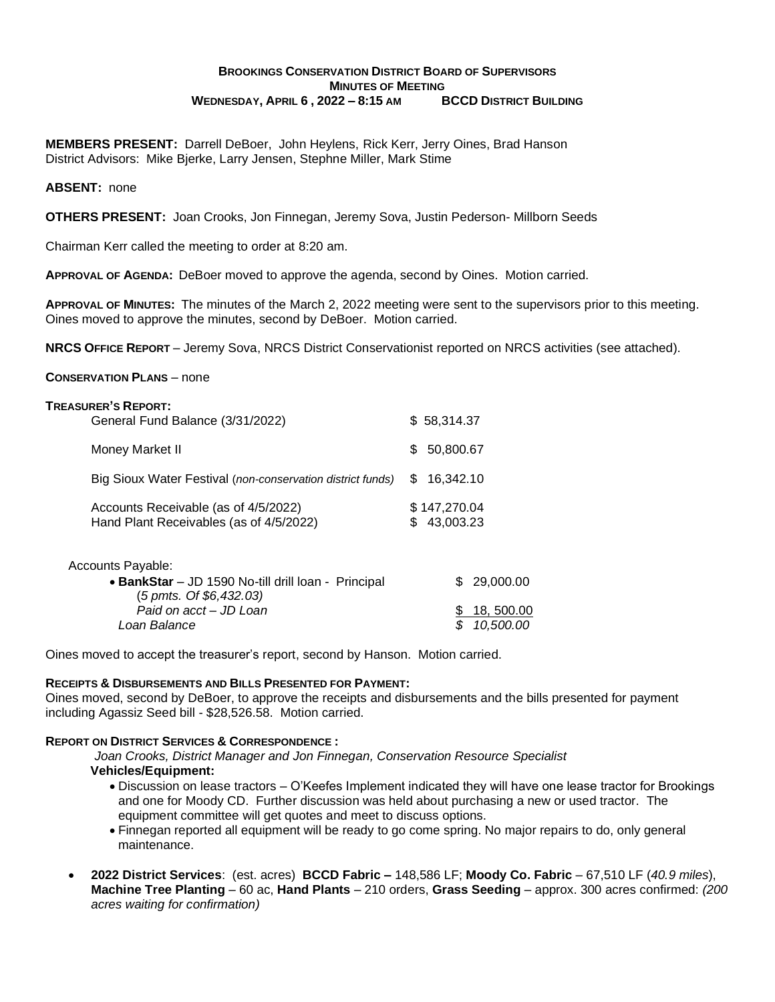## **BROOKINGS CONSERVATION DISTRICT BOARD OF SUPERVISORS MINUTES OF MEETING WEDNESDAY, APRIL 6 , 2022 – 8:15 AM BCCD DISTRICT BUILDING**

**MEMBERS PRESENT:** Darrell DeBoer, John Heylens, Rick Kerr, Jerry Oines, Brad Hanson District Advisors: Mike Bjerke, Larry Jensen, Stephne Miller, Mark Stime

### **ABSENT:** none

**OTHERS PRESENT:** Joan Crooks, Jon Finnegan, Jeremy Sova, Justin Pederson- Millborn Seeds

Chairman Kerr called the meeting to order at 8:20 am.

**APPROVAL OF AGENDA:** DeBoer moved to approve the agenda, second by Oines. Motion carried.

**APPROVAL OF MINUTES:** The minutes of the March 2, 2022 meeting were sent to the supervisors prior to this meeting. Oines moved to approve the minutes, second by DeBoer. Motion carried.

**NRCS OFFICE REPORT** – Jeremy Sova, NRCS District Conservationist reported on NRCS activities (see attached).

#### **CONSERVATION PLANS** – none

| <b>TREASURER'S REPORT:</b><br>General Fund Balance (3/31/2022)                  | \$58,314.37     |                           |            |
|---------------------------------------------------------------------------------|-----------------|---------------------------|------------|
| Money Market II                                                                 | \$<br>50,800.67 |                           |            |
| Big Sioux Water Festival (non-conservation district funds)                      | S               | 16,342.10                 |            |
| Accounts Receivable (as of 4/5/2022)<br>Hand Plant Receivables (as of 4/5/2022) | \$.             | \$147,270.04<br>43,003.23 |            |
| Accounts Payable:<br>• BankStar - JD 1590 No-till drill loan - Principal        |                 | S                         | 29,000.00  |
| (5 pmts. Of \$6,432.03)                                                         |                 |                           |            |
| Paid on acct - JD Loan                                                          |                 | æ.                        | 18, 500.00 |

*Loan Balance \$ 10,500.00*

Oines moved to accept the treasurer's report, second by Hanson. Motion carried.

### **RECEIPTS & DISBURSEMENTS AND BILLS PRESENTED FOR PAYMENT:**

Oines moved, second by DeBoer, to approve the receipts and disbursements and the bills presented for payment including Agassiz Seed bill - \$28,526.58. Motion carried.

#### **REPORT ON DISTRICT SERVICES & CORRESPONDENCE :**

*Joan Crooks, District Manager and Jon Finnegan, Conservation Resource Specialist*

- **Vehicles/Equipment:**
	- Discussion on lease tractors O'Keefes Implement indicated they will have one lease tractor for Brookings and one for Moody CD. Further discussion was held about purchasing a new or used tractor. The equipment committee will get quotes and meet to discuss options.
	- Finnegan reported all equipment will be ready to go come spring. No major repairs to do, only general maintenance.
- **2022 District Services**: (est. acres) **BCCD Fabric –** 148,586 LF; **Moody Co. Fabric**  67,510 LF (*40.9 miles*), **Machine Tree Planting** – 60 ac, **Hand Plants** – 210 orders, **Grass Seeding** – approx. 300 acres confirmed: *(200 acres waiting for confirmation)*